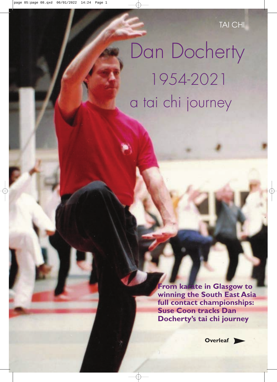TAI CHI

# Dan Docherty 1954-2021 a tai chi journey

**From karate in Glasgow to winning the South East Asia full contact championships: Suse Coon tracks Dan Docherty's tai chi journey**

**Overleaf**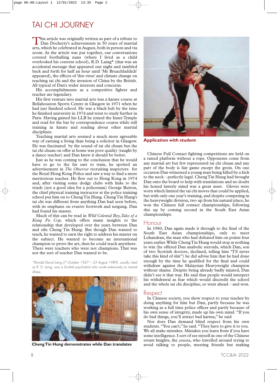## TAI CHI JOURNEY

This article was originally written as part of a tribute to<br>Dan Docherty's achievements in 50 years of martial arts, which he celebrated in August, both in person and via zoom. As the article was put together, our conversations covered footballing nuns (where I lived as a child overlooked his convent school), R.D. Laing\* (that was an accidental message that appeared one night and rambled back and forth for half an hour until 'Mr Bruachladdich' appeared), the effects of 'this virus' and climate change on teaching tai chi and the invasion of China by the British. All typical of Dan's wider interests and concerns.

His accomplishments as a competitive fighter and teacher are legendary.

His first venture into martial arts was a karate course at Bellahouston Sports Centre in Glasgow in 1971 when he had just finished school. He was a black belt by the time he finished university in 1974 and went to study further in Paris. Having gained his LLB he joined the Inner Temple and read for the bar by correspondence course while still training in karate and reading about other martial disciplines.

Teaching martial arts seemed a much more agreeable way of earning a living than being a solicitor in Glasgow. He was fascinated by the sound of tai chi chuan but the tai chi chuan on offer at home was poor quality (taught by a dance teacher) and Dan knew it should be better.

Just as he was coming to the conclusion that he would have to go to the far east to train, he spotted an advertisement in *The Observer* recruiting inspectors for the Royal Hong Kong Police and saw a way to find a more meritorious teacher. He flew out to Hong Kong in 1974 and, after visiting some dodgy clubs with links to the triads (not a good idea for a policeman) George Button, the chief physical training instructor at the police training school put him on to ChengTin Hung. ChengTin Hung's tai chi was different from anything Dan had seen before, with its emphasis on evasive footwork and neigung. Dan had found his master.

Much of this can be read in *Wild Colonial Boy,Tales of a Kung Fu Cop,* which offers many insights to the relationship that developed over the years between Dan and sifu Cheng Tin Hung. But though Dan wanted to teach, he wanted to earn the right to address his master on the subject. He wanted to become an international champion to prove the art, then he could teach anywhere. There were teachers who were not champions. That was not the sort of teacher Dan wanted to be.

*\*Ronald David Laing (7 October 1927 – 23 August 1989), usually cited as R. D. Laing, was a Scottish psychiatrist who wrote extensively on mental illness.*



**ChengTin Hung demonstrates while Dan translates**



**Application with student**

Chinese Full Contact fighting competitions are held on a raised platform without a rope. Opponents come from any martial art but few represented tai chi chuan and any part of the body is fair game except the groin. On one occasion Dan witnessed a young man being killed by a kick to the neck – perfectly legal. ChengTin Hung had brought Dan onto the board to help with translations and no doubt his honed lawerly mind was a great asset. Gloves were worn which limited the tai chi moves that could be applied, but with only one year's training, and despite competing in the heavyweight division, two up from his natural place, he won the Chinese full contact championships, following this up by coming second in the South East Asian championships.

#### **Honour**

In 1980, Dan again made it through to the final of the South East Asian championships, only to meet Lohandran, the man who had defeated him on points four years earlier.While ChengTin Hung would stop at nothing to win (he offered Dan anabolic steroids, which Dan, son of two Scottish doctors, declined, telling him "I'll never take this kind of shit") he did advise him that he had done enough by the time he qualified for the final and could withdraw against the Malaysian Heavyweight champion without shame. Despite being already badly injured, Dan didn't see it that way. He said that people would interpret his withdrawal as fear which would discredit the school and the whole tai chi discipline, so went ahead – and won.

#### Respect

In Chinese society, you show respect to your teacher by doing anything for him but Dan, partly because he was working as a full time police officer and partly because of his own sense of integrity, made up his own mind. "If you do bad things, you'll attract bad karma," he said

Nor does Dan demand blind respect from his own students. "You can't," he said. "They have to give it to you. We all make mistakes. Mistakes you learn from if you have some intelligence. I sort of see myself as one of the Chinese errant knights, the *youxia*, who travelled around trying to avoid talking to people, meeting friends but making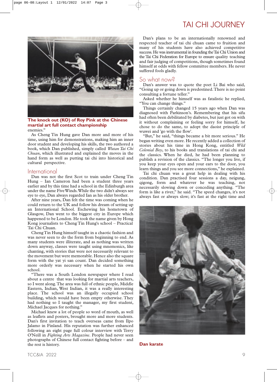## TAI CHI JOURNEY



enemies." **The knock out (KO) of Roy Pink at the Chinese martial art full contact championship**

As Cheng Tin Hung gave Dan more and more of his time, using him for demonstrations, making him an inner door student and developing his skills, the two authored a book, which Dan published, simply called *Wutan Tai Chi Chuan*, which illustrated and explained the moves in the hand form as well as putting tai chi into historical and cultural perspective.

#### International

Dan was not the first Scot to train under Cheng Tin Hung – Ian Cameron had been a student three years earlier and by this time had a school in the Edinburgh area under the name FiveWinds.While the two didn't always see eye to eye, Dan always regarded Ian as his older brother.

After nine years, Dan felt the time was coming when he could return to the UK and follow his dream of setting up an International School. Eschewing his hometown of Glasgow, Dan went to the biggest city in Europe which happened to be London. He took the name given by Hong Kong journalists to Cheng Tin Hung's school – Practical Tai Chi Chuan.

ChengTin Hung himself taught in a chaotic fashion and was never seen to do the form from beginning to end. As many students were illiterate, and as nothing was written down anyway, classes were taught using mnemonics, like chanting, with stories that were not necessarily relevant to the movement but were memorable. Hence also the square form with the yat yi san count. Dan decided something more orderly was necessary when he started his own school.

"There was a South London newspaper where I read about a centre that was looking for martial arts teachers, so I went along.The area was full of ethnic people, Middle Eastern, Indian, West Indian, it was a really interesting place. The school was an illegally occupied school building, which would have been empty otherwise. They had nothing so I taught the manager, my first student, Michael Jacques for nothing."

Michael knew a lot of people so word of mouth, as well as leaflets and posters, brought more and more students. Dan's first invitation to teach overseas came from Ilpo Jalamo in Finland. His reputation was further enhanced following an eight page full colour interview with Terry O'Neill in *Fighting Arts Magazine*. People had never seen photographs of Chinese full contact fighting before – and the rest is history.

Dan's plans to be an internationally renowned and respected teacher of tai chi chuan came to fruition and many of his students have also achieved competitive success. He was instrumental in founding the Tai Chi Union and the Tai Chi Federation for Europe to ensure quality teaching and fair judging of competitions, though sometimes found himself at odds with fellow committee members. He never suffered fools gladly.

#### So what now?

Dan's answer was to quote the poet Li Bai who said, "Going up or going down is predestined.There is no point consulting a fortune teller."

Asked whether he himself was as fatalistic he replied, "You can change things."

Things certainly changed 15 years ago when Dan was diagnosed with Parkinson's. Remembering that his sifu had often been debilitated by diabetes, but just got on with it without complaining or feeling sorry for himself, he chose to do the same, to adopt the daoist principle of wuwei and 'go with the flow'.

"But," he said, "things became a bit more serious." He began writing even more. He recently added a collection of stories about his time in Hong Kong, entitled *Wild Colonial Boy*, to his books and translations of tai chi and the classics. When he died, he had been planning to publish a revision of the classics. "The longer you live, if you keep your eyes open and your ears to the door, you learn things and you see more connections," he explained.

Tai chi chuan was a great help in dealing with his condition. Dan practised four sessions a day, neigung, qigong, form and whatever he was teaching, not necessarily slowing down or conceding anything. "The form is like a river," he said. "The speed changes, it's not always fast or always slow; it's fast at the right time and



**Dan karate**